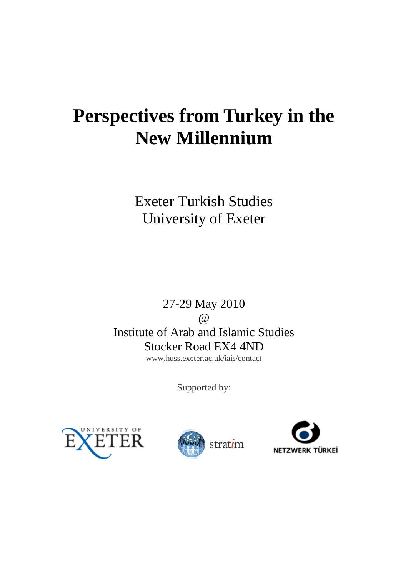# **Perspectives from Turkey in the New Millennium**

Exeter Turkish Studies University of Exeter

27-29 May 2010  $\omega$ Institute of Arab and Islamic Studies Stocker Road EX4 4ND www.huss.exeter.ac.uk/iais/contact

Supported by:





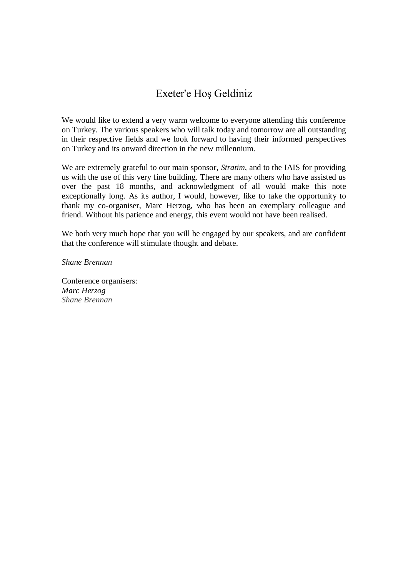#### Exeter'e Hoş Geldiniz

We would like to extend a very warm welcome to everyone attending this conference on Turkey. The various speakers who will talk today and tomorrow are all outstanding in their respective fields and we look forward to having their informed perspectives on Turkey and its onward direction in the new millennium.

We are extremely grateful to our main sponsor, *Stratim*, and to the IAIS for providing us with the use of this very fine building. There are many others who have assisted us over the past 18 months, and acknowledgment of all would make this note exceptionally long. As its author, I would, however, like to take the opportunity to thank my co-organiser, Marc Herzog, who has been an exemplary colleague and friend. Without his patience and energy, this event would not have been realised.

We both very much hope that you will be engaged by our speakers, and are confident that the conference will stimulate thought and debate.

*Shane Brennan*

Conference organisers: *Marc Herzog Shane Brennan*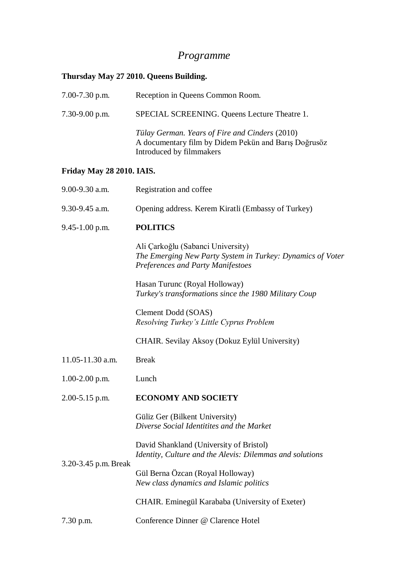## *Programme*

### **Thursday May 27 2010. Queens Building.**

| 7.00-7.30 p.m.            | Reception in Queens Common Room.                                                                                                            |
|---------------------------|---------------------------------------------------------------------------------------------------------------------------------------------|
| 7.30-9.00 p.m.            | SPECIAL SCREENING. Queens Lecture Theatre 1.                                                                                                |
|                           | Tülay German. Years of Fire and Cinders (2010)<br>A documentary film by Didem Pekün and Barış Doğrusöz<br>Introduced by filmmakers          |
| Friday May 28 2010. IAIS. |                                                                                                                                             |
| 9.00-9.30 a.m.            | Registration and coffee                                                                                                                     |
| $9.30 - 9.45$ a.m.        | Opening address. Kerem Kiratli (Embassy of Turkey)                                                                                          |
| $9.45 - 1.00$ p.m.        | <b>POLITICS</b>                                                                                                                             |
|                           | Ali Çarkoğlu (Sabanci University)<br>The Emerging New Party System in Turkey: Dynamics of Voter<br><b>Preferences and Party Manifestoes</b> |
|                           | Hasan Turunc (Royal Holloway)<br>Turkey's transformations since the 1980 Military Coup                                                      |
|                           | Clement Dodd (SOAS)<br>Resolving Turkey's Little Cyprus Problem                                                                             |
|                           | CHAIR. Sevilay Aksoy (Dokuz Eylül University)                                                                                               |
| 11.05-11.30 a.m.          | <b>Break</b>                                                                                                                                |
| $1.00 - 2.00$ p.m.        | Lunch                                                                                                                                       |
| 2.00-5.15 p.m.            | <b>ECONOMY AND SOCIETY</b>                                                                                                                  |
| 3.20-3.45 p.m. Break      | Güliz Ger (Bilkent University)<br>Diverse Social Identitites and the Market                                                                 |
|                           | David Shankland (University of Bristol)<br>Identity, Culture and the Alevis: Dilemmas and solutions                                         |
|                           | Gül Berna Özcan (Royal Holloway)<br>New class dynamics and Islamic politics                                                                 |
|                           | CHAIR. Eminegül Karababa (University of Exeter)                                                                                             |
| 7.30 p.m.                 | Conference Dinner @ Clarence Hotel                                                                                                          |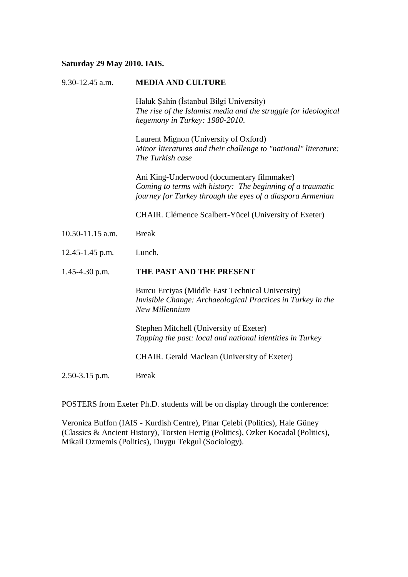#### **Saturday 29 May 2010. IAIS.**

| $9.30 - 12.45$ a.m. | <b>MEDIA AND CULTURE</b>                                                                                                                                               |
|---------------------|------------------------------------------------------------------------------------------------------------------------------------------------------------------------|
|                     | Haluk Şahin (İstanbul Bilgi University)<br>The rise of the Islamist media and the struggle for ideological<br>hegemony in Turkey: 1980-2010.                           |
|                     | Laurent Mignon (University of Oxford)<br>Minor literatures and their challenge to "national" literature:<br>The Turkish case                                           |
|                     | Ani King-Underwood (documentary filmmaker)<br>Coming to terms with history: The beginning of a traumatic<br>journey for Turkey through the eyes of a diaspora Armenian |
|                     | CHAIR. Clémence Scalbert-Yücel (University of Exeter)                                                                                                                  |
| 10.50-11.15 a.m.    | <b>Break</b>                                                                                                                                                           |
| $12.45 - 1.45$ p.m. | Lunch.                                                                                                                                                                 |
| $1.45 - 4.30$ p.m.  | THE PAST AND THE PRESENT                                                                                                                                               |
|                     | Burcu Erciyas (Middle East Technical University)<br>Invisible Change: Archaeological Practices in Turkey in the<br>New Millennium                                      |
|                     | Stephen Mitchell (University of Exeter)<br>Tapping the past: local and national identities in Turkey                                                                   |
|                     | <b>CHAIR.</b> Gerald Maclean (University of Exeter)                                                                                                                    |
| $2.50 - 3.15$ p.m.  | <b>Break</b>                                                                                                                                                           |
|                     |                                                                                                                                                                        |

POSTERS from Exeter Ph.D. students will be on display through the conference:

Veronica Buffon (IAIS - Kurdish Centre), Pinar Çelebi (Politics), Hale Güney (Classics & Ancient History), Torsten Hertig (Politics), Ozker Kocadal (Politics), Mikail Ozmemis (Politics), Duygu Tekgul (Sociology).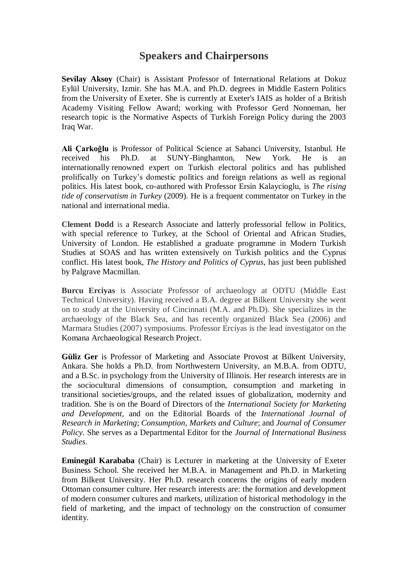#### **Speakers and Chairpersons**

**Sevilay Aksoy** (Chair) is Assistant Professor of International Relations at Dokuz Eylül University, Izmir. She has M.A. and Ph.D. degrees in Middle Eastern Politics from the University of Exeter. She is currently at Exeter's IAIS as holder of a British Academy Visiting Fellow Award; working with Professor Gerd Nonneman, her research topic is the Normative Aspects of Turkish Foreign Policy during the 2003 Iraq War.

**Ali Çarkoğlu** is Professor of Political Science at Sabanci University, Istanbul. He received his Ph.D. at SUNY-Binghamton, New York. He is an internationally renowned expert on Turkish electoral politics and has published prolifically on Turkey's domestic politics and foreign relations as well as regional politics. His latest book, co-authored with Professor Ersin Kalaycioglu, is *The rising tide of conservatism in Turkey* (2009). He is a frequent commentator on Turkey in the national and international media.

**Clement Dodd** is a Research Associate and latterly professorial fellow in Politics, with special reference to Turkey, at the School of Oriental and African Studies, University of London. He established a graduate programme in Modern Turkish Studies at SOAS and has written extensively on Turkish politics and the Cyprus conflict. His latest book, *The History and Politics of Cyprus*, has just been published by Palgrave Macmillan.

**Burcu Erciyas** is Associate Professor of archaeology at ODTU (Middle East Technical University). Having received a B.A. degree at Bilkent University she went on to study at the University of Cincinnati (M.A. and Ph.D). She specializes in the archaeology of the Black Sea, and has recently organized Black Sea (2006) and Marmara Studies (2007) symposiums. Professor Erciyas is the lead investigator on the Komana Archaeological Research Project.

**Güliz Ger** is Professor of Marketing and Associate Provost at Bilkent University, Ankara. She holds a Ph.D. from Northwestern University, an M.B.A. from ODTU, and a B.Sc. in psychology from the University of Illinois. Her research interests are in the sociocultural dimensions of consumption, consumption and marketing in transitional societies/groups, and the related issues of globalization, modernity and tradition. She is on the Board of Directors of the *International Society for Marketing and Development*, and on the Editorial Boards of the *International Journal of Research in Marketing*; *Consumption, Markets and Culture*; and *Journal of Consumer Policy*. She serves as a Departmental Editor for the *Journal of International Business Studies*.

**Eminegül Karababa** (Chair) is Lecturer in marketing at the University of Exeter Business School. She received her M.B.A. in Management and Ph.D. in Marketing from Bilkent University. Her Ph.D. research concerns the origins of early modern Ottoman consumer culture. Her research interests are: the formation and development of modern consumer cultures and markets, utilization of historical methodology in the field of marketing, and the impact of technology on the construction of consumer identity.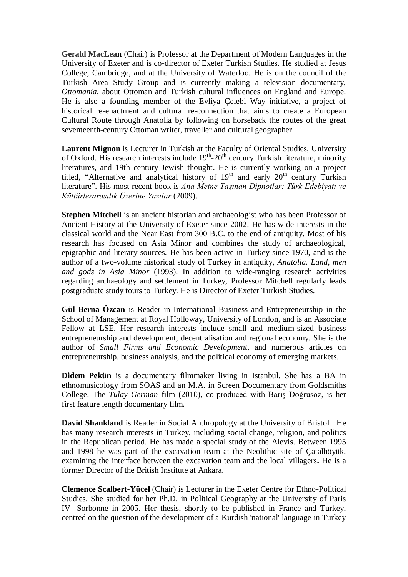**Gerald MacLean** (Chair) is Professor at the Department of Modern Languages in the University of Exeter and is co-director of Exeter Turkish Studies. He studied at Jesus College, Cambridge, and at the University of Waterloo. He is on the council of the Turkish Area Study Group and is currently making a television documentary, *Ottomania*, about Ottoman and Turkish cultural influences on England and Europe. He is also a founding member of the Evliya Çelebi Way initiative, a project of historical re-enactment and cultural re-connection that aims to create a European Cultural Route through Anatolia by following on horseback the routes of the great seventeenth-century Ottoman writer, traveller and cultural geographer.

**Laurent Mignon** is Lecturer in Turkish at the Faculty of Oriental Studies, University of Oxford. His research interests include  $19<sup>th</sup>$ -20<sup>th</sup> century Turkish literature, minority literatures, and 19th century Jewish thought. He is currently working on a project titled, "Alternative and analytical history of  $19<sup>th</sup>$  and early  $20<sup>th</sup>$  century Turkish literature". His most recent book is *Ana Metne Taşınan Dipnotlar: Türk Edebiyatı ve Kültürlerarasılık Üzerine Yazılar* (2009).

**Stephen Mitchell** is an ancient historian and archaeologist who has been Professor of Ancient History at the University of Exeter since 2002. He has wide interests in the classical world and the Near East from 300 B.C. to the end of antiquity. Most of his research has focused on Asia Minor and combines the study of archaeological, epigraphic and literary sources. He has been active in Turkey since 1970, and is the author of a two-volume historical study of Turkey in antiquity, *Anatolia. Land, men and gods in Asia Minor* (1993). In addition to wide-ranging research activities regarding archaeology and settlement in Turkey, Professor Mitchell regularly leads postgraduate study tours to Turkey. He is Director of Exeter Turkish Studies.

**Gül Berna Özcan** is Reader in International Business and Entrepreneurship in the School of Management at Royal Holloway, University of London, and is an Associate Fellow at LSE. Her research interests include small and medium-sized business entrepreneurship and development, decentralisation and regional economy. She is the author of *Small Firms and Economic Development*, and numerous articles on entrepreneurship, business analysis, and the political economy of emerging markets.

**Didem Pekün** is a documentary filmmaker living in Istanbul. She has a BA in ethnomusicology from SOAS and an M.A. in Screen Documentary from Goldsmiths College. The *Tülay German* film (2010), co-produced with Barış Doğrusöz, is her first feature length documentary film.

**David Shankland** is Reader in Social Anthropology at the University of Bristol. He has many research interests in Turkey, including social change, religion, and politics in the Republican period. He has made a special study of the Alevis. Between 1995 and 1998 he was part of the excavation team at the Neolithic site of [Çatalhöyük,](http://catal.arch.cam.ac.uk/catal/catal.html) examining the interface between the excavation team and the local villagers**.** He is a former Director of the British Institute at Ankara.

**Clemence Scalbert-Yücel** (Chair) is Lecturer in the Exeter Centre for Ethno-Political Studies. She studied for her Ph.D. in Political Geography at the University of Paris IV- Sorbonne in 2005. Her thesis, shortly to be published in France and Turkey, centred on the question of the development of a Kurdish 'national' language in Turkey